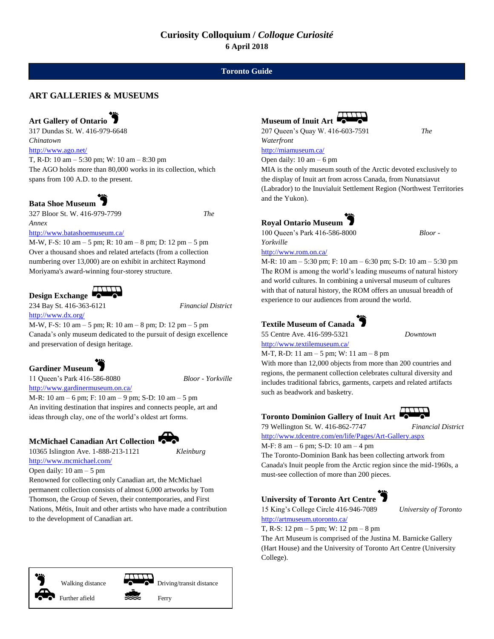#### **Toronto Guide**

#### **ART GALLERIES & MUSEUMS**

#### **Art Gallery of Ontario**

317 Dundas St. W. 416-979-6648 *Chinatown*

<http://www.ago.net/>

T, R-D: 10 am – 5:30 pm; W: 10 am – 8:30 pm The AGO holds more than 80,000 works in its collection, which spans from 100 A.D. to the present.

#### **Bata Shoe Museum**

327 Bloor St. W. 416-979-7799 *The Annex*

<http://www.batashoemuseum.ca/>

M-W, F-S: 10 am – 5 pm; R: 10 am – 8 pm; D: 12 pm – 5 pm Over a thousand shoes and related artefacts (from a collection numbering over 13,000) are on exhibit in architect Raymond Moriyama's award-winning four-storey structure.



234 Bay St. 416-363-6121 *Financial District* <http://www.dx.org/>

M-W, F-S: 10 am – 5 pm; R: 10 am – 8 pm; D: 12 pm – 5 pm Canada's only museum dedicated to the pursuit of design excellence and preservation of design heritage.

### **Gardiner Museum**

11 Queen's Park 416-586-8080 *Bloor - Yorkville* <http://www.gardinermuseum.on.ca/>

M-R: 10 am – 6 pm; F: 10 am – 9 pm; S-D: 10 am – 5 pm

An inviting destination that inspires and connects people, art and ideas through clay, one of the world's oldest art forms.

#### **McMichael Canadian Art Collection**

```
10365 Islington Ave. 1-888-213-1121 Kleinburg
http://www.mcmichael.com/
```
Open daily:  $10 \text{ am} - 5 \text{ pm}$ 

Renowned for collecting only Canadian art, the McMichael permanent collection consists of almost 6,000 artworks by Tom Thomson, the Group of Seven, their contemporaries, and First Nations, Métis, Inuit and other artists who have made a contribution to the development of Canadian art.







Open daily:  $10 \text{ am} - 6 \text{ pm}$ 

MIA is the only museum south of the Arctic devoted exclusively to the display of Inuit art from across Canada, from Nunatsiavut (Labrador) to the Inuvialuit Settlement Region (Northwest Territories and the Yukon).

# **Royal Ontario Museum**

100 Queen's Park 416-586-8000 *Bloor - Yorkville*

<http://www.rom.on.ca/>

M-R: 10 am – 5:30 pm; F: 10 am – 6:30 pm; S-D: 10 am – 5:30 pm The ROM is among the world's leading museums of natural history and world cultures. In combining a universal museum of cultures with that of natural history, the ROM offers an unusual breadth of experience to our audiences from around the world.

#### **Textile Museum of Canada**

55 Centre Ave. 416-599-5321 *Downtown* <http://www.textilemuseum.ca/>

M-T, R-D: 11 am – 5 pm; W: 11 am – 8 pm

With more than 12,000 objects from more than 200 countries and regions, the permanent collection celebrates cultural diversity and includes traditional fabrics, garments, carpets and related artifacts such as beadwork and basketry.

#### **Toronto Dominion Gallery of Inuit Art**



79 Wellington St. W. 416-862-7747 *Financial District* <http://www.tdcentre.com/en/life/Pages/Art-Gallery.aspx>

M-F: 8 am – 6 pm; S-D: 10 am – 4 pm

The Toronto-Dominion Bank has been collecting artwork from Canada's Inuit people from the Arctic region since the mid-1960s, a must-see collection of more than 200 pieces.

#### **University of Toronto Art Centre**

15 King's College Circle 416-946-7089 *University of Toronto* <http://artmuseum.utoronto.ca/>

T, R-S: 12 pm – 5 pm; W: 12 pm – 8 pm The Art Museum is comprised of the Justina M. Barnicke Gallery (Hart House) and the University of Toronto Art Centre (University College).





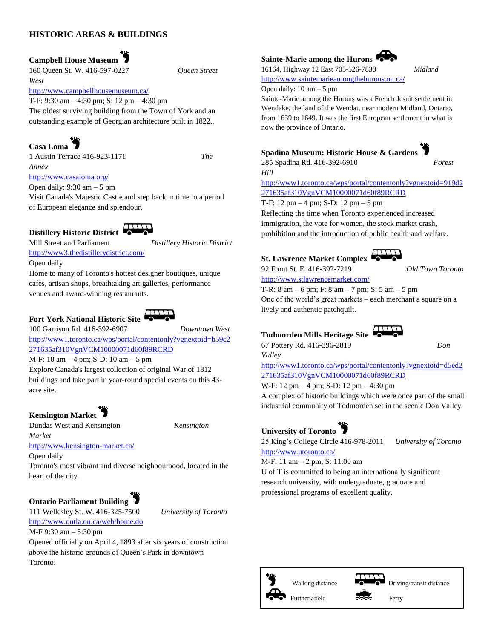#### **HISTORIC AREAS & BUILDINGS**

**Campbell House Museum** 

160 Queen St. W. 416-597-0227 *Queen Street West*

<http://www.campbellhousemuseum.ca/>

T-F: 9:30 am – 4:30 pm; S: 12 pm – 4:30 pm The oldest surviving building from the Town of York and an outstanding example of Georgian architecture built in 1822..

## **Casa Loma**

1 Austin Terrace 416-923-1171 *The Annex*

<http://www.casaloma.org/>

Open daily:  $9:30 \text{ am} - 5 \text{ pm}$ 

Visit Canada's Majestic Castle and step back in time to a period of European elegance and splendour.



Mill Street and Parliament *Distillery Historic District* <http://www3.thedistillerydistrict.com/>

Open daily

Home to many of Toronto's hottest designer boutiques, unique cafes, artisan shops, breathtaking art galleries, performance venues and award-winning restaurants.

# **Fort York National Historic Site**

100 Garrison Rd. 416-392-6907 *Downtown West* [http://www1.toronto.ca/wps/portal/contentonly?vgnextoid=b59c2](http://www1.toronto.ca/wps/portal/contentonly?vgnextoid=b59c2271635af310VgnVCM10000071d60f89RCRD) [271635af310VgnVCM10000071d60f89RCRD](http://www1.toronto.ca/wps/portal/contentonly?vgnextoid=b59c2271635af310VgnVCM10000071d60f89RCRD)

M-F: 10 am – 4 pm; S-D: 10 am – 5 pm

Explore Canada's largest collection of original War of 1812 buildings and take part in year-round special events on this 43 acre site.

**Kensington Market** 

Dundas West and Kensington *Kensington* 

*Market* <http://www.kensington-market.ca/>

Open daily Toronto's most vibrant and diverse neighbourhood, located in the heart of the city.

# **Ontario Parliament Building**

111 Wellesley St. W. 416-325-7500 *University of Toronto* <http://www.ontla.on.ca/web/home.do>

M-F 9:30 am – 5:30 pm

Opened officially on April 4, 1893 after six years of construction above the historic grounds of Queen's Park in downtown Toronto.

#### **Sainte-Marie among the Hurons**

16164, Highway 12 East 705-526-7838 *Midland*



<http://www.saintemarieamongthehurons.on.ca/>

Open daily: 10 am – 5 pm

*Hill*

Sainte-Marie among the Hurons was a French Jesuit settlement in Wendake, the land of the Wendat, near modern Midland, Ontario, from 1639 to 1649. It was the first European settlement in what is now the province of Ontario.

#### **Spadina Museum: Historic House & Gardens**



[http://www1.toronto.ca/wps/portal/contentonly?vgnextoid=919d2](http://www1.toronto.ca/wps/portal/contentonly?vgnextoid=919d2271635af310VgnVCM10000071d60f89RCRD) [271635af310VgnVCM10000071d60f89RCRD](http://www1.toronto.ca/wps/portal/contentonly?vgnextoid=919d2271635af310VgnVCM10000071d60f89RCRD)

285 Spadina Rd. 416-392-6910 *Forest* 

T-F: 12 pm – 4 pm; S-D: 12 pm – 5 pm Reflecting the time when Toronto experienced increased immigration, the vote for women, the stock market crash, prohibition and the introduction of public health and welfare.

#### **St. Lawrence Market Complex**



92 Front St. E. 416-392-7219 *Old Town Toronto*

<http://www.stlawrencemarket.com/>

T-R: 8 am – 6 pm; F: 8 am – 7 pm; S: 5 am – 5 pm One of the world's great markets – each merchant a square on a lively and authentic patchquilt.

### **Todmorden Mills Heritage Site**



67 Pottery Rd. 416-396-2819 *Don* 

*Valley* [http://www1.toronto.ca/wps/portal/contentonly?vgnextoid=d5ed2](http://www1.toronto.ca/wps/portal/contentonly?vgnextoid=d5ed2271635af310VgnVCM10000071d60f89RCRD) [271635af310VgnVCM10000071d60f89RCRD](http://www1.toronto.ca/wps/portal/contentonly?vgnextoid=d5ed2271635af310VgnVCM10000071d60f89RCRD)

W-F: 12 pm – 4 pm; S-D: 12 pm – 4:30 pm A complex of historic buildings which were once part of the small industrial community of Todmorden set in the scenic Don Valley.

# **University of Toronto**

25 King's College Circle 416-978-2011 *University of Toronto*

<http://www.utoronto.ca/>

M-F: 11 am – 2 pm; S: 11:00 am

U of T is committed to being an internationally significant research university, with undergraduate, graduate and professional programs of excellent quality.





Walking distance  $\bullet$  Driving/transit distance



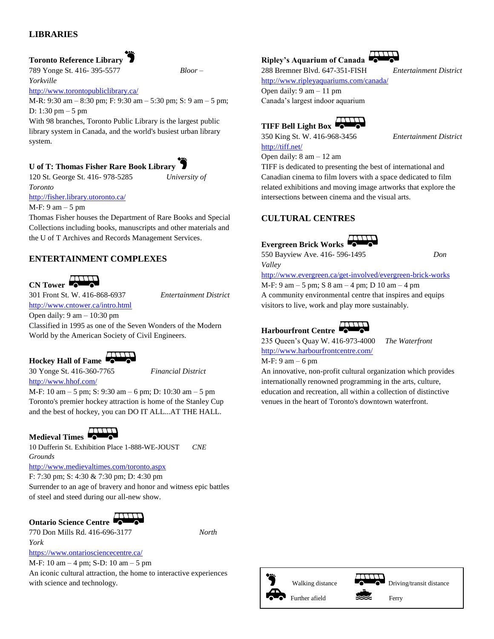#### **LIBRARIES**

#### **Toronto Reference Library**

789 Yonge St. 416- 395-5577 *Bloor – Yorkville*

<http://www.torontopubliclibrary.ca/>

M-R: 9:30 am – 8:30 pm; F: 9:30 am – 5:30 pm; S: 9 am – 5 pm; D: 1:30 pm – 5 pm

With 98 branches, Toronto Public Library is the largest public library system in Canada, and the world's busiest urban library system.

**U of T: Thomas Fisher Rare Book Library**

120 St. George St. 416- 978-5285 *University of Toronto*

<http://fisher.library.utoronto.ca/>

M-F: 9 am – 5 pm

Thomas Fisher houses the Department of Rare Books and Special Collections including books, manuscripts and other materials and the U of T Archives and Records Management Services.

#### **ENTERTAINMENT COMPLEXES**

**CN Tower CONTINUES** 

301 Front St. W. 416-868-6937 *Entertainment District*

#### <http://www.cntower.ca/intro.html> Open daily: 9 am – 10:30 pm

Classified in 1995 as one of the Seven Wonders of the Modern World by the American Society of Civil Engineers.

#### **Hockey Hall of Fame**

30 Yonge St. 416-360-7765 *Financial District* <http://www.hhof.com/>

M-F: 10 am – 5 pm; S: 9:30 am – 6 pm; D: 10:30 am – 5 pm Toronto's premier hockey attraction is home of the Stanley Cup and the best of hockey, you can DO IT ALL...AT THE HALL.

**Medieval Times** 

10 Dufferin St. Exhibition Place 1-888-WE-JOUST *CNE Grounds*

<http://www.medievaltimes.com/toronto.aspx>

F: 7:30 pm; S: 4:30 & 7:30 pm; D: 4:30 pm Surrender to an age of bravery and honor and witness epic battles of steel and steed during our all-new show.

Ontario Science Centre 770 Don Mills Rd. 416-696-3177 *North York*

<https://www.ontariosciencecentre.ca/> M-F: 10 am – 4 pm; S-D: 10 am – 5 pm An iconic cultural attraction, the home to interactive experiences with science and technology.

#### **Ripley's Aquarium of Canada**

288 Bremner Blvd. 647-351-FISH *Entertainment District*

<http://www.ripleyaquariums.com/canada/>

Open daily: 9 am – 11 pm Canada's largest indoor aquarium

# **TIFF Bell Light Box**

350 King St. W. 416-968-3456 *Entertainment District* <http://tiff.net/>

Open daily: 8 am – 12 am

TIFF is dedicated to presenting the best of international and Canadian cinema to film lovers with a space dedicated to film related exhibitions and moving image artworks that explore the intersections between cinema and the visual arts.

#### **CULTURAL CENTRES**

**Evergreen Brick Works** 

550 Bayview Ave. 416- 596-1495 *Don Valley*

<http://www.evergreen.ca/get-involved/evergreen-brick-works> M-F: 9 am – 5 pm; S 8 am – 4 pm; D 10 am – 4 pm A community environmental centre that inspires and equips visitors to live, work and play more sustainably.



235 Queen's Quay W. 416-973-4000 *The Waterfront* <http://www.harbourfrontcentre.com/>

M-F: 9 am – 6 pm

An innovative, non-profit cultural organization which provides internationally renowned programming in the arts, culture, education and recreation, all within a collection of distinctive venues in the heart of Toronto's downtown waterfront.

Walking distance  $\bullet$  Driving/transit distance Further afield Ferry